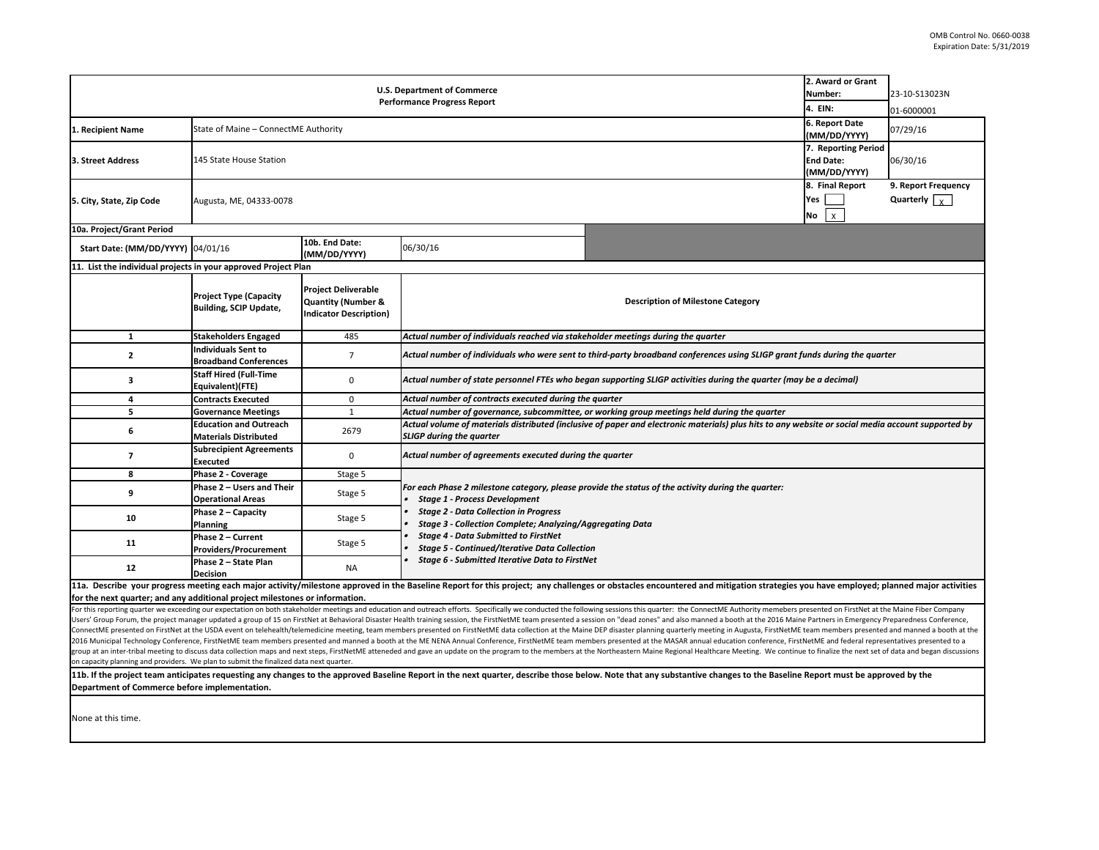| 2. Award or Grant                                                                              |                                                                                                                                                                   |                                                                |                                                                                                                                                    |                                                                                                                                                                                                                                |                                     |                      |  |  |
|------------------------------------------------------------------------------------------------|-------------------------------------------------------------------------------------------------------------------------------------------------------------------|----------------------------------------------------------------|----------------------------------------------------------------------------------------------------------------------------------------------------|--------------------------------------------------------------------------------------------------------------------------------------------------------------------------------------------------------------------------------|-------------------------------------|----------------------|--|--|
| <b>U.S. Department of Commerce</b><br>Number:<br><b>Performance Progress Report</b><br>4. EIN: |                                                                                                                                                                   |                                                                |                                                                                                                                                    |                                                                                                                                                                                                                                |                                     | 23-10-S13023N        |  |  |
|                                                                                                |                                                                                                                                                                   |                                                                |                                                                                                                                                    |                                                                                                                                                                                                                                |                                     | 01-6000001           |  |  |
| State of Maine - ConnectME Authority<br>1. Recipient Name                                      |                                                                                                                                                                   |                                                                |                                                                                                                                                    |                                                                                                                                                                                                                                | 6. Report Date                      | 07/29/16             |  |  |
|                                                                                                |                                                                                                                                                                   |                                                                |                                                                                                                                                    |                                                                                                                                                                                                                                | (MM/DD/YYYY)<br>7. Reporting Period |                      |  |  |
| 3. Street Address                                                                              | 145 State House Station<br><b>End Date:</b>                                                                                                                       |                                                                |                                                                                                                                                    |                                                                                                                                                                                                                                |                                     | 06/30/16             |  |  |
|                                                                                                |                                                                                                                                                                   |                                                                |                                                                                                                                                    |                                                                                                                                                                                                                                |                                     |                      |  |  |
|                                                                                                |                                                                                                                                                                   |                                                                |                                                                                                                                                    |                                                                                                                                                                                                                                | (MM/DD/YYYY)<br>8. Final Report     | 9. Report Frequency  |  |  |
| 5. City, State, Zip Code                                                                       | Yes<br>Augusta, ME, 04333-0078                                                                                                                                    |                                                                |                                                                                                                                                    |                                                                                                                                                                                                                                |                                     | Quarterly $\sqrt{v}$ |  |  |
|                                                                                                |                                                                                                                                                                   |                                                                |                                                                                                                                                    |                                                                                                                                                                                                                                |                                     |                      |  |  |
| 10a. Project/Grant Period                                                                      |                                                                                                                                                                   |                                                                |                                                                                                                                                    |                                                                                                                                                                                                                                | $\vert x \vert$<br>No               |                      |  |  |
|                                                                                                |                                                                                                                                                                   | 10b. End Date:                                                 |                                                                                                                                                    |                                                                                                                                                                                                                                |                                     |                      |  |  |
| Start Date: (MM/DD/YYYY) 04/01/16                                                              |                                                                                                                                                                   | (MM/DD/YYYY)                                                   | 06/30/16                                                                                                                                           |                                                                                                                                                                                                                                |                                     |                      |  |  |
| 11. List the individual projects in your approved Project Plan                                 |                                                                                                                                                                   |                                                                |                                                                                                                                                    |                                                                                                                                                                                                                                |                                     |                      |  |  |
|                                                                                                |                                                                                                                                                                   |                                                                |                                                                                                                                                    |                                                                                                                                                                                                                                |                                     |                      |  |  |
|                                                                                                | <b>Project Type (Capacity</b>                                                                                                                                     | <b>Project Deliverable</b>                                     |                                                                                                                                                    |                                                                                                                                                                                                                                |                                     |                      |  |  |
|                                                                                                | <b>Building, SCIP Update,</b>                                                                                                                                     | <b>Quantity (Number &amp;</b><br><b>Indicator Description)</b> | <b>Description of Milestone Category</b>                                                                                                           |                                                                                                                                                                                                                                |                                     |                      |  |  |
|                                                                                                |                                                                                                                                                                   |                                                                |                                                                                                                                                    |                                                                                                                                                                                                                                |                                     |                      |  |  |
| $\mathbf{1}$                                                                                   | <b>Stakeholders Engaged</b>                                                                                                                                       | 485                                                            | Actual number of individuals reached via stakeholder meetings during the quarter                                                                   |                                                                                                                                                                                                                                |                                     |                      |  |  |
| $\overline{2}$                                                                                 | <b>Individuals Sent to</b>                                                                                                                                        | $\overline{7}$                                                 | Actual number of individuals who were sent to third-party broadband conferences using SLIGP grant funds during the quarter                         |                                                                                                                                                                                                                                |                                     |                      |  |  |
|                                                                                                | <b>Broadband Conferences</b>                                                                                                                                      |                                                                |                                                                                                                                                    |                                                                                                                                                                                                                                |                                     |                      |  |  |
| 3                                                                                              | <b>Staff Hired (Full-Time</b><br>Actual number of state personnel FTEs who began supporting SLIGP activities during the quarter (may be a decimal)<br>$\mathbf 0$ |                                                                |                                                                                                                                                    |                                                                                                                                                                                                                                |                                     |                      |  |  |
| 4                                                                                              | Equivalent)(FTE)<br><b>Contracts Executed</b>                                                                                                                     | 0                                                              | Actual number of contracts executed during the quarter                                                                                             |                                                                                                                                                                                                                                |                                     |                      |  |  |
| 5                                                                                              | <b>Governance Meetings</b>                                                                                                                                        | $\mathbf{1}$                                                   | Actual number of governance, subcommittee, or working group meetings held during the quarter                                                       |                                                                                                                                                                                                                                |                                     |                      |  |  |
|                                                                                                | <b>Education and Outreach</b>                                                                                                                                     |                                                                | Actual volume of materials distributed (inclusive of paper and electronic materials) plus hits to any website or social media account supported by |                                                                                                                                                                                                                                |                                     |                      |  |  |
| 6                                                                                              | <b>Materials Distributed</b>                                                                                                                                      | 2679                                                           | <b>SLIGP during the quarter</b>                                                                                                                    |                                                                                                                                                                                                                                |                                     |                      |  |  |
| $\overline{7}$                                                                                 | <b>Subrecipient Agreements</b>                                                                                                                                    | 0                                                              | Actual number of agreements executed during the quarter                                                                                            |                                                                                                                                                                                                                                |                                     |                      |  |  |
|                                                                                                | <b>Executed</b>                                                                                                                                                   |                                                                |                                                                                                                                                    |                                                                                                                                                                                                                                |                                     |                      |  |  |
| 8                                                                                              | Phase 2 - Coverage                                                                                                                                                | Stage 5                                                        |                                                                                                                                                    |                                                                                                                                                                                                                                |                                     |                      |  |  |
| 9                                                                                              | Phase 2 - Users and Their                                                                                                                                         | Stage 5                                                        |                                                                                                                                                    | For each Phase 2 milestone category, please provide the status of the activity during the quarter:                                                                                                                             |                                     |                      |  |  |
|                                                                                                | <b>Operational Areas</b>                                                                                                                                          |                                                                | <b>Stage 1 - Process Development</b>                                                                                                               |                                                                                                                                                                                                                                |                                     |                      |  |  |
| 10                                                                                             | Phase 2 - Capacity                                                                                                                                                | Stage 5                                                        | <b>Stage 2 - Data Collection in Progress</b><br>Stage 3 - Collection Complete; Analyzing/Aggregating Data                                          |                                                                                                                                                                                                                                |                                     |                      |  |  |
|                                                                                                | Planning<br>Phase 2 - Current                                                                                                                                     |                                                                | <b>Stage 4 - Data Submitted to FirstNet</b>                                                                                                        |                                                                                                                                                                                                                                |                                     |                      |  |  |
| 11                                                                                             | <b>Providers/Procurement</b>                                                                                                                                      | Stage 5                                                        | <b>Stage 5 - Continued/Iterative Data Collection</b>                                                                                               |                                                                                                                                                                                                                                |                                     |                      |  |  |
|                                                                                                | Phase 2 - State Plan                                                                                                                                              |                                                                | Stage 6 - Submitted Iterative Data to FirstNet                                                                                                     |                                                                                                                                                                                                                                |                                     |                      |  |  |
| 12                                                                                             | Decision                                                                                                                                                          | <b>NA</b>                                                      |                                                                                                                                                    |                                                                                                                                                                                                                                |                                     |                      |  |  |
|                                                                                                |                                                                                                                                                                   |                                                                |                                                                                                                                                    | 11a. Describe your progress meeting each major activity/milestone approved in the Baseline Report for this project; any challenges or obstacles encountered and mitigation strategies you have employed; planned major activit |                                     |                      |  |  |

**for the next quarter; and any additional project milestones or information.**

For this reporting quarter we exceeding our expectation on both stakeholder meetings and education and outreach efforts. Specifically we conducted the following sessions this quarter: the ConnectME Authority memebers prese Users' Group Forum, the project manager updated a group of 15 on FirstNet at Behavioral Disaster Health training session, the FirstNetME team presented a session on "dead zones" and also manned a booth at the 2016 Maine Pa ConnectME presented on FirstNet at the USDA event on telehealth/telemedicine meeting, team members presented on FirstNetME data collection at the Maine DEP disaster planning quarterly meeting in Augusta, FirstNetME team me 2016 Municipal Technology Conference, FirstNetME team members presented and manned a booth at the ME NENA Annual Conference, FirstNetME team members presented at the MASAR annual education conference, FirstNetME and federa group at an inter-tribal meeting to discuss data collection maps and next steps, FirstNetME atteneded and gave an update on the program to the members at the Northeastern Maine Regional Healthcare Meeting. We continue to f on capacity planning and providers. We plan to submit the finalized data next quarter.

11b. If the project team anticipates requesting any changes to the approved Baseline Report in the next quarter, describe those below. Note that any substantive changes to the Baseline Report must be approved by the **Department of Commerce before implementation.**

None at this time.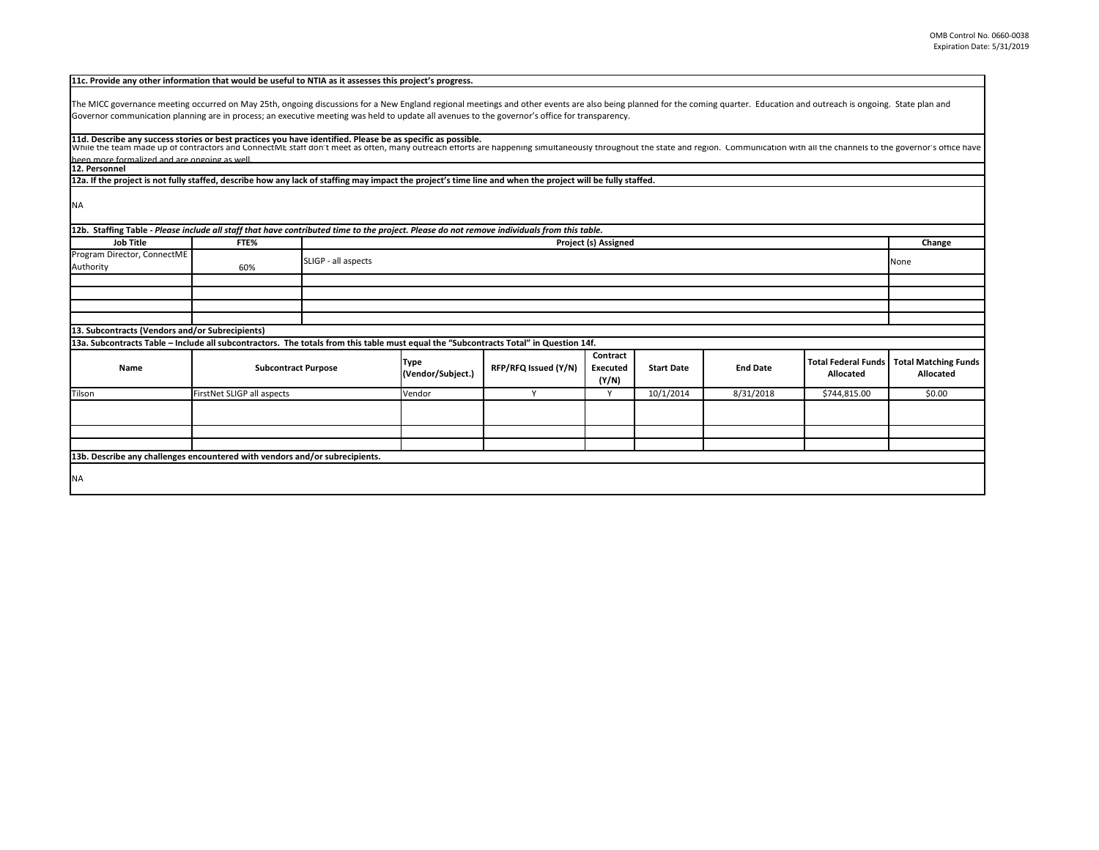| The MICC governance meeting occurred on May 25th, ongoing discussions for a New England regional meetings and other events are also being planned for the coming quarter. Education and outreach is ongoing. State plan and<br>Governor communication planning are in process; an executive meeting was held to update all avenues to the governor's office for transparency.<br>11d. Describe any success stories or best practices you have identified. Please be as specific as possible.<br>been more formalized and are ongoing as well<br>12. Personnel<br>12a. If the project is not fully staffed, describe how any lack of staffing may impact the project's time line and when the project will be fully staffed.<br>12b. Staffing Table - Please include all staff that have contributed time to the project. Please do not remove individuals from this table.<br><b>Job Title</b><br>FTE%<br>Project (s) Assigned<br>Change<br>SLIGP - all aspects<br>None<br>60%<br>13. Subcontracts (Vendors and/or Subrecipients)<br>13a. Subcontracts Table - Include all subcontractors. The totals from this table must equal the "Subcontracts Total" in Question 14f.<br>Contract<br><b>Total Federal Funds</b><br><b>Type</b><br><b>Subcontract Purpose</b><br>RFP/RFQ Issued (Y/N)<br><b>End Date</b><br><b>Start Date</b><br>Name<br>Executed<br>(Vendor/Subject.)<br><b>Allocated</b><br>Allocated<br>(Y/N)<br>FirstNet SLIGP all aspects<br>Vendor<br>Y<br>10/1/2014<br>8/31/2018<br>\$0.00<br>Y<br>\$744,815.00 | 11c. Provide any other information that would be useful to NTIA as it assesses this project's progress. |  |  |  |  |  |  |  |  |  |
|----------------------------------------------------------------------------------------------------------------------------------------------------------------------------------------------------------------------------------------------------------------------------------------------------------------------------------------------------------------------------------------------------------------------------------------------------------------------------------------------------------------------------------------------------------------------------------------------------------------------------------------------------------------------------------------------------------------------------------------------------------------------------------------------------------------------------------------------------------------------------------------------------------------------------------------------------------------------------------------------------------------------------------------------------------------------------------------------------------------------------------------------------------------------------------------------------------------------------------------------------------------------------------------------------------------------------------------------------------------------------------------------------------------------------------------------------------------------------------------------------------------------------|---------------------------------------------------------------------------------------------------------|--|--|--|--|--|--|--|--|--|
|                                                                                                                                                                                                                                                                                                                                                                                                                                                                                                                                                                                                                                                                                                                                                                                                                                                                                                                                                                                                                                                                                                                                                                                                                                                                                                                                                                                                                                                                                                                            |                                                                                                         |  |  |  |  |  |  |  |  |  |
| While the team made up of contractors and ConnectME staff don't meet as often, many outreach efforts are happening simultaneously throughout the state and region. Communication with all the channels to the governor's offic                                                                                                                                                                                                                                                                                                                                                                                                                                                                                                                                                                                                                                                                                                                                                                                                                                                                                                                                                                                                                                                                                                                                                                                                                                                                                             |                                                                                                         |  |  |  |  |  |  |  |  |  |
|                                                                                                                                                                                                                                                                                                                                                                                                                                                                                                                                                                                                                                                                                                                                                                                                                                                                                                                                                                                                                                                                                                                                                                                                                                                                                                                                                                                                                                                                                                                            |                                                                                                         |  |  |  |  |  |  |  |  |  |
|                                                                                                                                                                                                                                                                                                                                                                                                                                                                                                                                                                                                                                                                                                                                                                                                                                                                                                                                                                                                                                                                                                                                                                                                                                                                                                                                                                                                                                                                                                                            |                                                                                                         |  |  |  |  |  |  |  |  |  |
|                                                                                                                                                                                                                                                                                                                                                                                                                                                                                                                                                                                                                                                                                                                                                                                                                                                                                                                                                                                                                                                                                                                                                                                                                                                                                                                                                                                                                                                                                                                            |                                                                                                         |  |  |  |  |  |  |  |  |  |
|                                                                                                                                                                                                                                                                                                                                                                                                                                                                                                                                                                                                                                                                                                                                                                                                                                                                                                                                                                                                                                                                                                                                                                                                                                                                                                                                                                                                                                                                                                                            |                                                                                                         |  |  |  |  |  |  |  |  |  |
| <b>Total Matching Funds</b>                                                                                                                                                                                                                                                                                                                                                                                                                                                                                                                                                                                                                                                                                                                                                                                                                                                                                                                                                                                                                                                                                                                                                                                                                                                                                                                                                                                                                                                                                                |                                                                                                         |  |  |  |  |  |  |  |  |  |
|                                                                                                                                                                                                                                                                                                                                                                                                                                                                                                                                                                                                                                                                                                                                                                                                                                                                                                                                                                                                                                                                                                                                                                                                                                                                                                                                                                                                                                                                                                                            | <b>NA</b>                                                                                               |  |  |  |  |  |  |  |  |  |
|                                                                                                                                                                                                                                                                                                                                                                                                                                                                                                                                                                                                                                                                                                                                                                                                                                                                                                                                                                                                                                                                                                                                                                                                                                                                                                                                                                                                                                                                                                                            |                                                                                                         |  |  |  |  |  |  |  |  |  |
|                                                                                                                                                                                                                                                                                                                                                                                                                                                                                                                                                                                                                                                                                                                                                                                                                                                                                                                                                                                                                                                                                                                                                                                                                                                                                                                                                                                                                                                                                                                            |                                                                                                         |  |  |  |  |  |  |  |  |  |
|                                                                                                                                                                                                                                                                                                                                                                                                                                                                                                                                                                                                                                                                                                                                                                                                                                                                                                                                                                                                                                                                                                                                                                                                                                                                                                                                                                                                                                                                                                                            |                                                                                                         |  |  |  |  |  |  |  |  |  |
|                                                                                                                                                                                                                                                                                                                                                                                                                                                                                                                                                                                                                                                                                                                                                                                                                                                                                                                                                                                                                                                                                                                                                                                                                                                                                                                                                                                                                                                                                                                            | Program Director, ConnectME                                                                             |  |  |  |  |  |  |  |  |  |
|                                                                                                                                                                                                                                                                                                                                                                                                                                                                                                                                                                                                                                                                                                                                                                                                                                                                                                                                                                                                                                                                                                                                                                                                                                                                                                                                                                                                                                                                                                                            | Authority                                                                                               |  |  |  |  |  |  |  |  |  |
|                                                                                                                                                                                                                                                                                                                                                                                                                                                                                                                                                                                                                                                                                                                                                                                                                                                                                                                                                                                                                                                                                                                                                                                                                                                                                                                                                                                                                                                                                                                            |                                                                                                         |  |  |  |  |  |  |  |  |  |
|                                                                                                                                                                                                                                                                                                                                                                                                                                                                                                                                                                                                                                                                                                                                                                                                                                                                                                                                                                                                                                                                                                                                                                                                                                                                                                                                                                                                                                                                                                                            |                                                                                                         |  |  |  |  |  |  |  |  |  |
|                                                                                                                                                                                                                                                                                                                                                                                                                                                                                                                                                                                                                                                                                                                                                                                                                                                                                                                                                                                                                                                                                                                                                                                                                                                                                                                                                                                                                                                                                                                            |                                                                                                         |  |  |  |  |  |  |  |  |  |
|                                                                                                                                                                                                                                                                                                                                                                                                                                                                                                                                                                                                                                                                                                                                                                                                                                                                                                                                                                                                                                                                                                                                                                                                                                                                                                                                                                                                                                                                                                                            |                                                                                                         |  |  |  |  |  |  |  |  |  |
|                                                                                                                                                                                                                                                                                                                                                                                                                                                                                                                                                                                                                                                                                                                                                                                                                                                                                                                                                                                                                                                                                                                                                                                                                                                                                                                                                                                                                                                                                                                            |                                                                                                         |  |  |  |  |  |  |  |  |  |
|                                                                                                                                                                                                                                                                                                                                                                                                                                                                                                                                                                                                                                                                                                                                                                                                                                                                                                                                                                                                                                                                                                                                                                                                                                                                                                                                                                                                                                                                                                                            |                                                                                                         |  |  |  |  |  |  |  |  |  |
|                                                                                                                                                                                                                                                                                                                                                                                                                                                                                                                                                                                                                                                                                                                                                                                                                                                                                                                                                                                                                                                                                                                                                                                                                                                                                                                                                                                                                                                                                                                            |                                                                                                         |  |  |  |  |  |  |  |  |  |
|                                                                                                                                                                                                                                                                                                                                                                                                                                                                                                                                                                                                                                                                                                                                                                                                                                                                                                                                                                                                                                                                                                                                                                                                                                                                                                                                                                                                                                                                                                                            | Tilson                                                                                                  |  |  |  |  |  |  |  |  |  |
|                                                                                                                                                                                                                                                                                                                                                                                                                                                                                                                                                                                                                                                                                                                                                                                                                                                                                                                                                                                                                                                                                                                                                                                                                                                                                                                                                                                                                                                                                                                            |                                                                                                         |  |  |  |  |  |  |  |  |  |
|                                                                                                                                                                                                                                                                                                                                                                                                                                                                                                                                                                                                                                                                                                                                                                                                                                                                                                                                                                                                                                                                                                                                                                                                                                                                                                                                                                                                                                                                                                                            |                                                                                                         |  |  |  |  |  |  |  |  |  |
|                                                                                                                                                                                                                                                                                                                                                                                                                                                                                                                                                                                                                                                                                                                                                                                                                                                                                                                                                                                                                                                                                                                                                                                                                                                                                                                                                                                                                                                                                                                            |                                                                                                         |  |  |  |  |  |  |  |  |  |
|                                                                                                                                                                                                                                                                                                                                                                                                                                                                                                                                                                                                                                                                                                                                                                                                                                                                                                                                                                                                                                                                                                                                                                                                                                                                                                                                                                                                                                                                                                                            |                                                                                                         |  |  |  |  |  |  |  |  |  |
| 13b. Describe any challenges encountered with vendors and/or subrecipients.                                                                                                                                                                                                                                                                                                                                                                                                                                                                                                                                                                                                                                                                                                                                                                                                                                                                                                                                                                                                                                                                                                                                                                                                                                                                                                                                                                                                                                                |                                                                                                         |  |  |  |  |  |  |  |  |  |
|                                                                                                                                                                                                                                                                                                                                                                                                                                                                                                                                                                                                                                                                                                                                                                                                                                                                                                                                                                                                                                                                                                                                                                                                                                                                                                                                                                                                                                                                                                                            | <b>NA</b>                                                                                               |  |  |  |  |  |  |  |  |  |